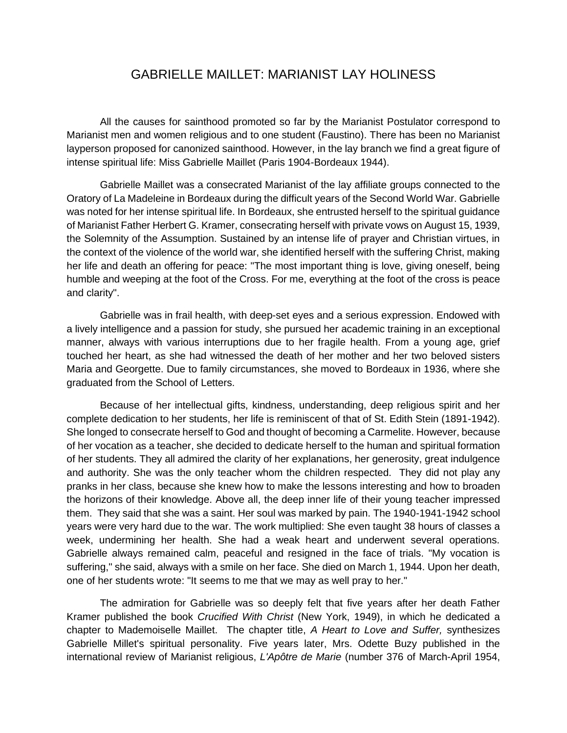## GABRIELLE MAILLET: MARIANIST LAY HOLINESS

All the causes for sainthood promoted so far by the Marianist Postulator correspond to Marianist men and women religious and to one student (Faustino). There has been no Marianist layperson proposed for canonized sainthood. However, in the lay branch we find a great figure of intense spiritual life: Miss Gabrielle Maillet (Paris 1904-Bordeaux 1944).

Gabrielle Maillet was a consecrated Marianist of the lay affiliate groups connected to the Oratory of La Madeleine in Bordeaux during the difficult years of the Second World War. Gabrielle was noted for her intense spiritual life. In Bordeaux, she entrusted herself to the spiritual guidance of Marianist Father Herbert G. Kramer, consecrating herself with private vows on August 15, 1939, the Solemnity of the Assumption. Sustained by an intense life of prayer and Christian virtues, in the context of the violence of the world war, she identified herself with the suffering Christ, making her life and death an offering for peace: "The most important thing is love, giving oneself, being humble and weeping at the foot of the Cross. For me, everything at the foot of the cross is peace and clarity".

Gabrielle was in frail health, with deep-set eyes and a serious expression. Endowed with a lively intelligence and a passion for study, she pursued her academic training in an exceptional manner, always with various interruptions due to her fragile health. From a young age, grief touched her heart, as she had witnessed the death of her mother and her two beloved sisters Maria and Georgette. Due to family circumstances, she moved to Bordeaux in 1936, where she graduated from the School of Letters.

Because of her intellectual gifts, kindness, understanding, deep religious spirit and her complete dedication to her students, her life is reminiscent of that of St. Edith Stein (1891-1942). She longed to consecrate herself to God and thought of becoming a Carmelite. However, because of her vocation as a teacher, she decided to dedicate herself to the human and spiritual formation of her students. They all admired the clarity of her explanations, her generosity, great indulgence and authority. She was the only teacher whom the children respected. They did not play any pranks in her class, because she knew how to make the lessons interesting and how to broaden the horizons of their knowledge. Above all, the deep inner life of their young teacher impressed them. They said that she was a saint. Her soul was marked by pain. The 1940-1941-1942 school years were very hard due to the war. The work multiplied: She even taught 38 hours of classes a week, undermining her health. She had a weak heart and underwent several operations. Gabrielle always remained calm, peaceful and resigned in the face of trials. "My vocation is suffering," she said, always with a smile on her face. She died on March 1, 1944. Upon her death, one of her students wrote: "It seems to me that we may as well pray to her."

The admiration for Gabrielle was so deeply felt that five years after her death Father Kramer published the book *Crucified With Christ* (New York, 1949), in which he dedicated a chapter to Mademoiselle Maillet. The chapter title, *A Heart to Love and Suffer,* synthesizes Gabrielle Millet's spiritual personality. Five years later, Mrs. Odette Buzy published in the international review of Marianist religious, *L'Apôtre de Marie* (number 376 of March-April 1954,